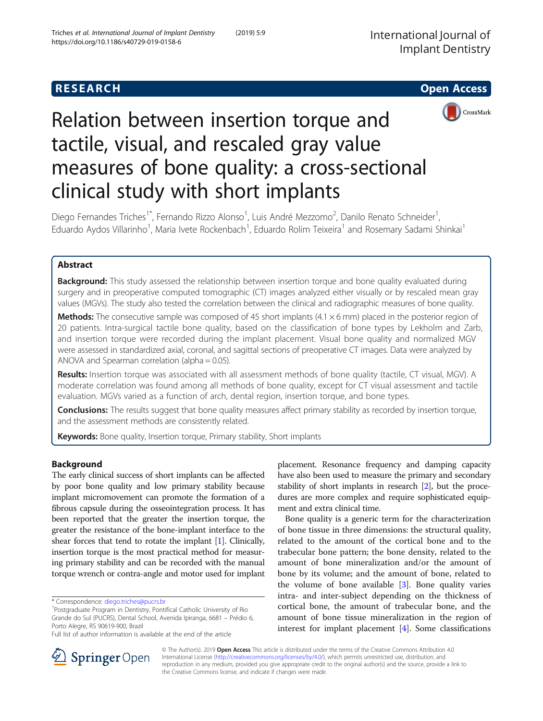# **RESEARCH CHE Open Access**



# Relation between insertion torque and tactile, visual, and rescaled gray value measures of bone quality: a cross-sectional clinical study with short implants

Diego Fernandes Triches<sup>1\*</sup>, Fernando Rizzo Alonso<sup>1</sup>, Luis André Mezzomo<sup>2</sup>, Danilo Renato Schneider<sup>1</sup> , Eduardo Aydos Villarinho<sup>1</sup>, Maria Ivete Rockenbach<sup>1</sup>, Eduardo Rolim Teixeira<sup>1</sup> and Rosemary Sadami Shinkai<sup>1</sup>

# Abstract

**Background:** This study assessed the relationship between insertion torque and bone quality evaluated during surgery and in preoperative computed tomographic (CT) images analyzed either visually or by rescaled mean gray values (MGVs). The study also tested the correlation between the clinical and radiographic measures of bone quality.

**Methods:** The consecutive sample was composed of 45 short implants  $(4.1 \times 6 \text{ mm})$  placed in the posterior region of 20 patients. Intra-surgical tactile bone quality, based on the classification of bone types by Lekholm and Zarb, and insertion torque were recorded during the implant placement. Visual bone quality and normalized MGV were assessed in standardized axial, coronal, and sagittal sections of preoperative CT images. Data were analyzed by ANOVA and Spearman correlation (alpha = 0.05).

Results: Insertion torque was associated with all assessment methods of bone quality (tactile, CT visual, MGV). A moderate correlation was found among all methods of bone quality, except for CT visual assessment and tactile evaluation. MGVs varied as a function of arch, dental region, insertion torque, and bone types.

**Conclusions:** The results suggest that bone quality measures affect primary stability as recorded by insertion torque, and the assessment methods are consistently related.

Keywords: Bone quality, Insertion torque, Primary stability, Short implants

# Background

The early clinical success of short implants can be affected by poor bone quality and low primary stability because implant micromovement can promote the formation of a fibrous capsule during the osseointegration process. It has been reported that the greater the insertion torque, the greater the resistance of the bone-implant interface to the shear forces that tend to rotate the implant [[1](#page-6-0)]. Clinically, insertion torque is the most practical method for measuring primary stability and can be recorded with the manual torque wrench or contra-angle and motor used for implant

placement. Resonance frequency and damping capacity have also been used to measure the primary and secondary stability of short implants in research [\[2](#page-6-0)], but the procedures are more complex and require sophisticated equipment and extra clinical time.

Bone quality is a generic term for the characterization of bone tissue in three dimensions: the structural quality, related to the amount of the cortical bone and to the trabecular bone pattern; the bone density, related to the amount of bone mineralization and/or the amount of bone by its volume; and the amount of bone, related to the volume of bone available [[3\]](#page-6-0). Bone quality varies intra- and inter-subject depending on the thickness of cortical bone, the amount of trabecular bone, and the amount of bone tissue mineralization in the region of interest for implant placement [\[4\]](#page-6-0). Some classifications



© The Author(s). 2019 Open Access This article is distributed under the terms of the Creative Commons Attribution 4.0 International License ([http://creativecommons.org/licenses/by/4.0/\)](http://creativecommons.org/licenses/by/4.0/), which permits unrestricted use, distribution, and reproduction in any medium, provided you give appropriate credit to the original author(s) and the source, provide a link to the Creative Commons license, and indicate if changes were made.

<sup>\*</sup> Correspondence: [diego.triches@pucrs.br](mailto:diego.triches@pucrs.br) <sup>1</sup>

<sup>&</sup>lt;sup>1</sup>Postgraduate Program in Dentistry, Pontifical Catholic University of Rio Grande do Sul (PUCRS), Dental School, Avenida Ipiranga, 6681 – Prédio 6, Porto Alegre, RS 90619-900, Brazil

Full list of author information is available at the end of the article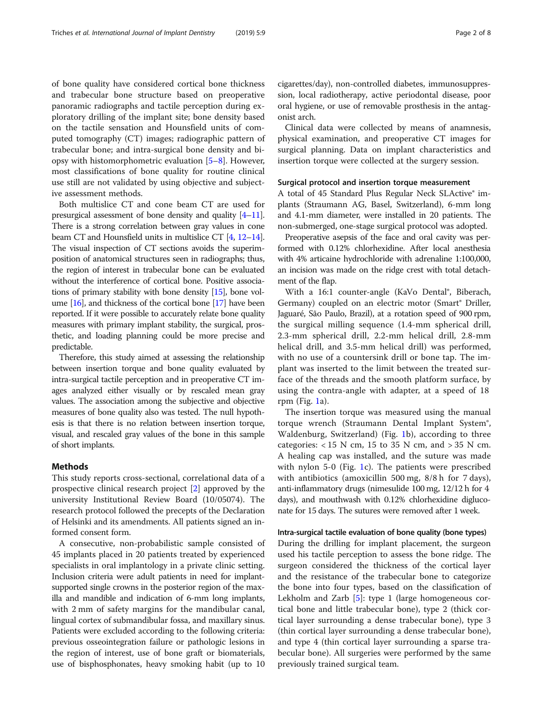of bone quality have considered cortical bone thickness and trabecular bone structure based on preoperative panoramic radiographs and tactile perception during exploratory drilling of the implant site; bone density based on the tactile sensation and Hounsfield units of computed tomography (CT) images; radiographic pattern of trabecular bone; and intra-surgical bone density and biopsy with histomorphometric evaluation [[5](#page-6-0)–[8](#page-6-0)]. However, most classifications of bone quality for routine clinical use still are not validated by using objective and subjective assessment methods.

Both multislice CT and cone beam CT are used for presurgical assessment of bone density and quality [\[4](#page-6-0)–[11](#page-6-0)]. There is a strong correlation between gray values in cone beam CT and Hounsfield units in multislice CT [\[4,](#page-6-0) [12](#page-7-0)–[14](#page-7-0)]. The visual inspection of CT sections avoids the superimposition of anatomical structures seen in radiographs; thus, the region of interest in trabecular bone can be evaluated without the interference of cortical bone. Positive associations of primary stability with bone density [\[15](#page-7-0)], bone volume [\[16](#page-7-0)], and thickness of the cortical bone [\[17](#page-7-0)] have been reported. If it were possible to accurately relate bone quality measures with primary implant stability, the surgical, prosthetic, and loading planning could be more precise and predictable.

Therefore, this study aimed at assessing the relationship between insertion torque and bone quality evaluated by intra-surgical tactile perception and in preoperative CT images analyzed either visually or by rescaled mean gray values. The association among the subjective and objective measures of bone quality also was tested. The null hypothesis is that there is no relation between insertion torque, visual, and rescaled gray values of the bone in this sample of short implants.

# **Methods**

This study reports cross-sectional, correlational data of a prospective clinical research project [[2\]](#page-6-0) approved by the university Institutional Review Board (10/05074). The research protocol followed the precepts of the Declaration of Helsinki and its amendments. All patients signed an informed consent form.

A consecutive, non-probabilistic sample consisted of 45 implants placed in 20 patients treated by experienced specialists in oral implantology in a private clinic setting. Inclusion criteria were adult patients in need for implantsupported single crowns in the posterior region of the maxilla and mandible and indication of 6-mm long implants, with 2 mm of safety margins for the mandibular canal, lingual cortex of submandibular fossa, and maxillary sinus. Patients were excluded according to the following criteria: previous osseointegration failure or pathologic lesions in the region of interest, use of bone graft or biomaterials, use of bisphosphonates, heavy smoking habit (up to 10

cigarettes/day), non-controlled diabetes, immunosuppression, local radiotherapy, active periodontal disease, poor oral hygiene, or use of removable prosthesis in the antagonist arch.

Clinical data were collected by means of anamnesis, physical examination, and preoperative CT images for surgical planning. Data on implant characteristics and insertion torque were collected at the surgery session.

# Surgical protocol and insertion torque measurement

A total of 45 Standard Plus Regular Neck SLActive® implants (Straumann AG, Basel, Switzerland), 6-mm long and 4.1-mm diameter, were installed in 20 patients. The non-submerged, one-stage surgical protocol was adopted.

Preoperative asepsis of the face and oral cavity was performed with 0.12% chlorhexidine. After local anesthesia with 4% articaine hydrochloride with adrenaline 1:100,000, an incision was made on the ridge crest with total detachment of the flap.

With a 16:1 counter-angle (KaVo Dental®, Biberach, Germany) coupled on an electric motor (Smart® Driller, Jaguaré, São Paulo, Brazil), at a rotation speed of 900 rpm, the surgical milling sequence (1.4-mm spherical drill, 2.3-mm spherical drill, 2.2-mm helical drill, 2.8-mm helical drill, and 3.5-mm helical drill) was performed, with no use of a countersink drill or bone tap. The implant was inserted to the limit between the treated surface of the threads and the smooth platform surface, by using the contra-angle with adapter, at a speed of 18 rpm  $(Fig. 1a)$  $(Fig. 1a)$  $(Fig. 1a)$ .

The insertion torque was measured using the manual torque wrench (Straumann Dental Implant System®, Waldenburg, Switzerland) (Fig. [1b](#page-2-0)), according to three categories:  $< 15$  N cm, 15 to 35 N cm, and  $> 35$  N cm. A healing cap was installed, and the suture was made with nylon 5-0 (Fig. [1c](#page-2-0)). The patients were prescribed with antibiotics (amoxicillin 500 mg, 8/8 h for 7 days), anti-inflammatory drugs (nimesulide 100 mg, 12/12 h for 4 days), and mouthwash with 0.12% chlorhexidine digluconate for 15 days. The sutures were removed after 1 week.

## Intra-surgical tactile evaluation of bone quality (bone types)

During the drilling for implant placement, the surgeon used his tactile perception to assess the bone ridge. The surgeon considered the thickness of the cortical layer and the resistance of the trabecular bone to categorize the bone into four types, based on the classification of Lekholm and Zarb [\[5](#page-6-0)]: type 1 (large homogeneous cortical bone and little trabecular bone), type 2 (thick cortical layer surrounding a dense trabecular bone), type 3 (thin cortical layer surrounding a dense trabecular bone), and type 4 (thin cortical layer surrounding a sparse trabecular bone). All surgeries were performed by the same previously trained surgical team.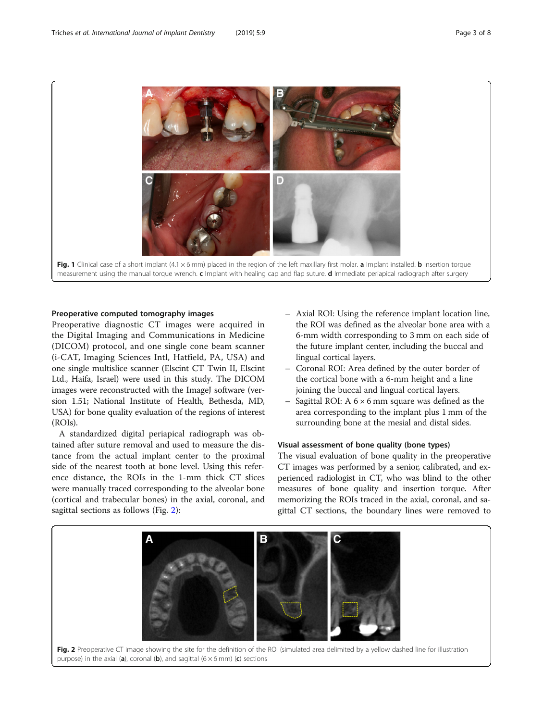<span id="page-2-0"></span>

## Preoperative computed tomography images

Preoperative diagnostic CT images were acquired in the Digital Imaging and Communications in Medicine (DICOM) protocol, and one single cone beam scanner (i-CAT, Imaging Sciences Intl, Hatfield, PA, USA) and one single multislice scanner (Elscint CT Twin II, Elscint Ltd., Haifa, Israel) were used in this study. The DICOM images were reconstructed with the ImageJ software (version 1.51; National Institute of Health, Bethesda, MD, USA) for bone quality evaluation of the regions of interest (ROIs).

A standardized digital periapical radiograph was obtained after suture removal and used to measure the distance from the actual implant center to the proximal side of the nearest tooth at bone level. Using this reference distance, the ROIs in the 1-mm thick CT slices were manually traced corresponding to the alveolar bone (cortical and trabecular bones) in the axial, coronal, and sagittal sections as follows (Fig. 2):

- Axial ROI: Using the reference implant location line, the ROI was defined as the alveolar bone area with a 6-mm width corresponding to 3 mm on each side of the future implant center, including the buccal and lingual cortical layers.
- Coronal ROI: Area defined by the outer border of the cortical bone with a 6-mm height and a line joining the buccal and lingual cortical layers.
- Sagittal ROI: A  $6 \times 6$  mm square was defined as the area corresponding to the implant plus 1 mm of the surrounding bone at the mesial and distal sides.

## Visual assessment of bone quality (bone types)

The visual evaluation of bone quality in the preoperative CT images was performed by a senior, calibrated, and experienced radiologist in CT, who was blind to the other measures of bone quality and insertion torque. After memorizing the ROIs traced in the axial, coronal, and sagittal CT sections, the boundary lines were removed to

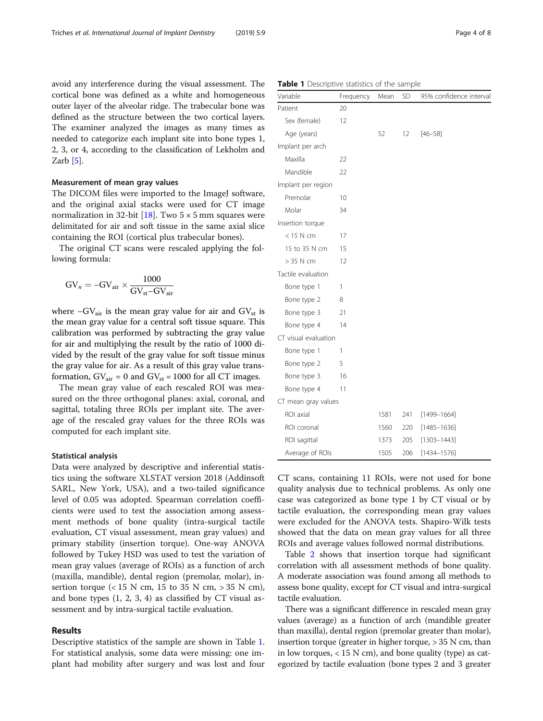avoid any interference during the visual assessment. The cortical bone was defined as a white and homogeneous outer layer of the alveolar ridge. The trabecular bone was defined as the structure between the two cortical layers. The examiner analyzed the images as many times as needed to categorize each implant site into bone types 1, 2, 3, or 4, according to the classification of Lekholm and Zarb [[5](#page-6-0)].

# Measurement of mean gray values

The DICOM files were imported to the ImageJ software, and the original axial stacks were used for CT image normalization in 32-bit [[18\]](#page-7-0). Two  $5 \times 5$  mm squares were delimitated for air and soft tissue in the same axial slice containing the ROI (cortical plus trabecular bones).

The original CT scans were rescaled applying the following formula:

$$
GV_n = -GV_{\text{air}} \times \frac{1000}{GV_{\text{st}}-GV_{\text{air}}}
$$

where  $-GV_{air}$  is the mean gray value for air and  $GV_{st}$  is the mean gray value for a central soft tissue square. This calibration was performed by subtracting the gray value for air and multiplying the result by the ratio of 1000 divided by the result of the gray value for soft tissue minus the gray value for air. As a result of this gray value transformation,  $GV_{air} = 0$  and  $GV_{st} = 1000$  for all CT images.

The mean gray value of each rescaled ROI was measured on the three orthogonal planes: axial, coronal, and sagittal, totaling three ROIs per implant site. The average of the rescaled gray values for the three ROIs was computed for each implant site.

#### Statistical analysis

Data were analyzed by descriptive and inferential statistics using the software XLSTAT version 2018 (Addinsoft SARL, New York, USA), and a two-tailed significance level of 0.05 was adopted. Spearman correlation coefficients were used to test the association among assessment methods of bone quality (intra-surgical tactile evaluation, CT visual assessment, mean gray values) and primary stability (insertion torque). One-way ANOVA followed by Tukey HSD was used to test the variation of mean gray values (average of ROIs) as a function of arch (maxilla, mandible), dental region (premolar, molar), insertion torque ( $< 15$  N cm, 15 to 35 N cm,  $> 35$  N cm), and bone types (1, 2, 3, 4) as classified by CT visual assessment and by intra-surgical tactile evaluation.

### Results

Descriptive statistics of the sample are shown in Table 1. For statistical analysis, some data were missing: one implant had mobility after surgery and was lost and four

Table 1 Descriptive statistics of the sample

| Variable             | Frequency | Mean | <b>SD</b> | 95% confidence interval |
|----------------------|-----------|------|-----------|-------------------------|
| Patient              | 20        |      |           |                         |
| Sex (female)         | 12        |      |           |                         |
| Age (years)          |           | 52   | 12        | $[46 - 58]$             |
| Implant per arch     |           |      |           |                         |
| Maxilla              | 22        |      |           |                         |
| Mandible             | 22        |      |           |                         |
| Implant per region   |           |      |           |                         |
| Premolar             | 10        |      |           |                         |
| Molar                | 34        |      |           |                         |
| Insertion torque     |           |      |           |                         |
| $<$ 15 N cm          | 17        |      |           |                         |
| 15 to 35 N cm        | 15        |      |           |                         |
| > 35 N cm            | 12        |      |           |                         |
| Tactile evaluation   |           |      |           |                         |
| Bone type 1          | 1         |      |           |                         |
| Bone type 2          | 8         |      |           |                         |
| Bone type 3          | 21        |      |           |                         |
| Bone type 4          | 14        |      |           |                         |
| CT visual evaluation |           |      |           |                         |
| Bone type 1          | 1         |      |           |                         |
| Bone type 2          | 5         |      |           |                         |
| Bone type 3          | 16        |      |           |                         |
| Bone type 4          | 11        |      |           |                         |
| CT mean gray values  |           |      |           |                         |
| ROI axial            |           | 1581 | 241       | $[1499 - 1664]$         |
| ROI coronal          |           | 1560 | 220       | $[1485 - 1636]$         |
| ROI sagittal         |           | 1373 | 205       | $[1303 - 1443]$         |
| Average of ROIs      |           | 1505 | 206       | $[1434 - 1576]$         |

CT scans, containing 11 ROIs, were not used for bone quality analysis due to technical problems. As only one case was categorized as bone type 1 by CT visual or by tactile evaluation, the corresponding mean gray values were excluded for the ANOVA tests. Shapiro-Wilk tests showed that the data on mean gray values for all three ROIs and average values followed normal distributions.

Table [2](#page-4-0) shows that insertion torque had significant correlation with all assessment methods of bone quality. A moderate association was found among all methods to assess bone quality, except for CT visual and intra-surgical tactile evaluation.

There was a significant difference in rescaled mean gray values (average) as a function of arch (mandible greater than maxilla), dental region (premolar greater than molar), insertion torque (greater in higher torque,  $> 35$  N cm, than in low torques,  $< 15$  N cm), and bone quality (type) as categorized by tactile evaluation (bone types 2 and 3 greater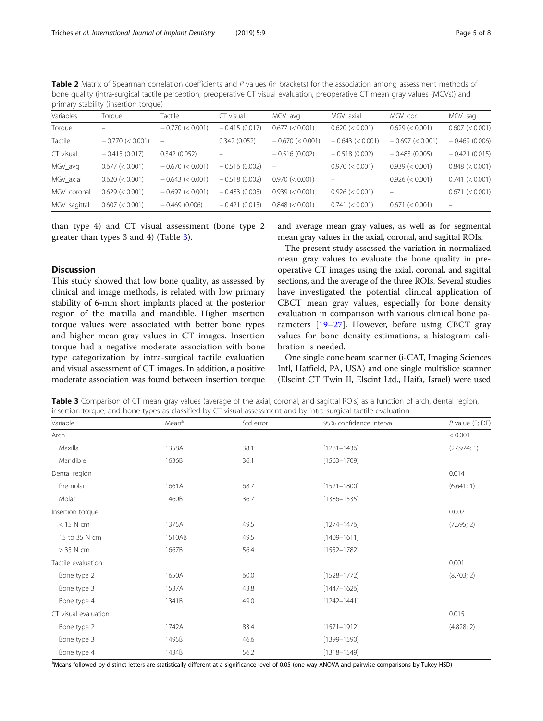<span id="page-4-0"></span>Table 2 Matrix of Spearman correlation coefficients and P values (in brackets) for the association among assessment methods of bone quality (intra-surgical tactile perception, preoperative CT visual evaluation, preoperative CT mean gray values (MGVs)) and primary stability (insertion torque)

| Variables    | Torque             | Tactile                  | $CT$ visual     | MGV avg                  | MGV axial          | MGV cor            | MGV_sag                  |
|--------------|--------------------|--------------------------|-----------------|--------------------------|--------------------|--------------------|--------------------------|
| Torque       |                    | $-0.770 \le 0.001$       | $-0.415(0.017)$ | $0.677 (< 0.001$ )       | 0.620 (< 0.001)    | 0.629 (< 0.001)    | 0.607 (< 0.001)          |
| Tactile      | $-0.770 \le 0.001$ | $\overline{\phantom{0}}$ | 0.342(0.052)    | $-0.670 (< 0.001)$       | $-0.643 (< 0.001)$ | $-0.697 (< 0.001)$ | $-0.469(0.006)$          |
| CT visual    | $-0.415(0.017)$    | 0.342(0.052)             | $\equiv$        | $-0.516(0.002)$          | $-0.518(0.002)$    | $-0.483(0.005)$    | $-0.421(0.015)$          |
| MGV_avg      | $0.677 (< 0.001$ ) | $-0.670 (< 0.001)$       | $-0.516(0.002)$ | $\overline{\phantom{m}}$ | 0.970 (< 0.001)    | $0.939 \le 0.001$  | 0.848 (< 0.001)          |
| MGV_axial    | $0.620 \le 0.001$  | $-0.643 (< 0.001)$       | $-0.518(0.002)$ | 0.970 (< 0.001)          |                    | $0.926 \le 0.001$  | 0.741 (< 0.001)          |
| MGV_coronal  | 0.629 (< 0.001)    | $-0.697 (< 0.001)$       | $-0.483(0.005)$ | 0.939 (< 0.001)          | $0.926 \le 0.001$  |                    | 0.671 (< 0.001)          |
| MGV_sagittal | 0.607 (< 0.001)    | $-0.469(0.006)$          | $-0.421(0.015)$ | 0.848 (< 0.001)          | $0.741 (< 0.001$ ) | 0.671 (< 0.001)    | $\overline{\phantom{m}}$ |

than type 4) and CT visual assessment (bone type 2 greater than types 3 and 4) (Table 3).

and average mean gray values, as well as for segmental mean gray values in the axial, coronal, and sagittal ROIs.

# **Discussion**

This study showed that low bone quality, as assessed by clinical and image methods, is related with low primary stability of 6-mm short implants placed at the posterior region of the maxilla and mandible. Higher insertion torque values were associated with better bone types and higher mean gray values in CT images. Insertion torque had a negative moderate association with bone type categorization by intra-surgical tactile evaluation and visual assessment of CT images. In addition, a positive moderate association was found between insertion torque

The present study assessed the variation in normalized mean gray values to evaluate the bone quality in preoperative CT images using the axial, coronal, and sagittal sections, and the average of the three ROIs. Several studies have investigated the potential clinical application of CBCT mean gray values, especially for bone density evaluation in comparison with various clinical bone parameters [[19](#page-7-0)–[27\]](#page-7-0). However, before using CBCT gray values for bone density estimations, a histogram calibration is needed.

One single cone beam scanner (i-CAT, Imaging Sciences Intl, Hatfield, PA, USA) and one single multislice scanner (Elscint CT Twin II, Elscint Ltd., Haifa, Israel) were used

Table 3 Comparison of CT mean gray values (average of the axial, coronal, and sagittal ROIs) as a function of arch, dental region, insertion torque, and bone types as classified by CT visual assessment and by intra-surgical tactile evaluation

| Variable             | $\overline{\phantom{0}}$<br>Mean <sup>a</sup> | Std error | 95% confidence interval | $P$ value (F; DF) |
|----------------------|-----------------------------------------------|-----------|-------------------------|-------------------|
| Arch                 |                                               |           |                         | < 0.001           |
| Maxilla              | 1358A                                         | 38.1      | $[1281 - 1436]$         | (27.974; 1)       |
| Mandible             | 1636B                                         | 36.1      | $[1563 - 1709]$         |                   |
| Dental region        |                                               |           |                         | 0.014             |
| Premolar             | 1661A                                         | 68.7      | $[1521 - 1800]$         | (6.641; 1)        |
| Molar                | 1460B                                         | 36.7      | $[1386 - 1535]$         |                   |
| Insertion torque     |                                               |           |                         | 0.002             |
| $<$ 15 N cm          | 1375A                                         | 49.5      | $[1274 - 1476]$         | (7.595; 2)        |
| 15 to 35 N cm        | 1510AB                                        | 49.5      | $[1409 - 1611]$         |                   |
| > 35 N cm            | 1667B                                         | 56.4      | $[1552 - 1782]$         |                   |
| Tactile evaluation   |                                               |           |                         | 0.001             |
| Bone type 2          | 1650A                                         | 60.0      | $[1528 - 1772]$         | (8.703; 2)        |
| Bone type 3          | 1537A                                         | 43.8      | $[1447 - 1626]$         |                   |
| Bone type 4          | 1341B                                         | 49.0      | $[1242 - 1441]$         |                   |
| CT visual evaluation |                                               |           |                         | 0.015             |
| Bone type 2          | 1742A                                         | 83.4      | $[1571 - 1912]$         | (4.828; 2)        |
| Bone type 3          | 1495B                                         | 46.6      | $[1399 - 1590]$         |                   |
| Bone type 4          | 1434B                                         | 56.2      | $[1318 - 1549]$         |                   |

<sup>a</sup>Means followed by distinct letters are statistically different at a significance level of 0.05 (one-way ANOVA and pairwise comparisons by Tukey HSD)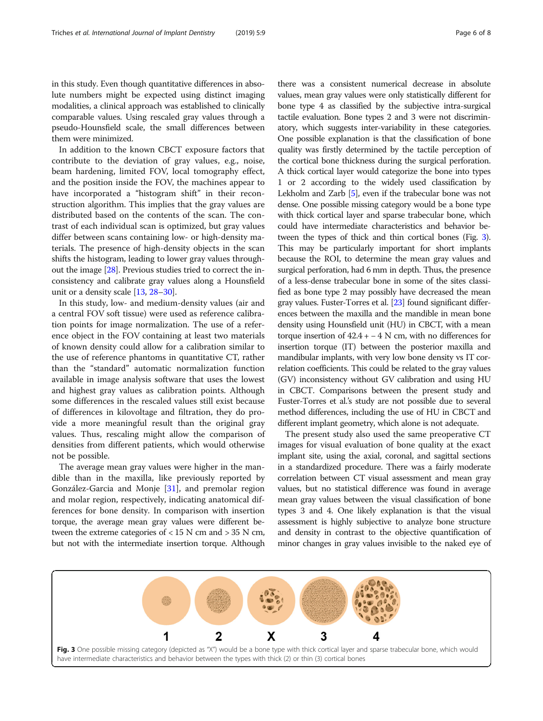in this study. Even though quantitative differences in absolute numbers might be expected using distinct imaging modalities, a clinical approach was established to clinically comparable values. Using rescaled gray values through a pseudo-Hounsfield scale, the small differences between them were minimized.

In addition to the known CBCT exposure factors that contribute to the deviation of gray values, e.g., noise, beam hardening, limited FOV, local tomography effect, and the position inside the FOV, the machines appear to have incorporated a "histogram shift" in their reconstruction algorithm. This implies that the gray values are distributed based on the contents of the scan. The contrast of each individual scan is optimized, but gray values differ between scans containing low- or high-density materials. The presence of high-density objects in the scan shifts the histogram, leading to lower gray values throughout the image [\[28\]](#page-7-0). Previous studies tried to correct the inconsistency and calibrate gray values along a Hounsfield unit or a density scale [\[13](#page-7-0), [28](#page-7-0)–[30\]](#page-7-0).

In this study, low- and medium-density values (air and a central FOV soft tissue) were used as reference calibration points for image normalization. The use of a reference object in the FOV containing at least two materials of known density could allow for a calibration similar to the use of reference phantoms in quantitative CT, rather than the "standard" automatic normalization function available in image analysis software that uses the lowest and highest gray values as calibration points. Although some differences in the rescaled values still exist because of differences in kilovoltage and filtration, they do provide a more meaningful result than the original gray values. Thus, rescaling might allow the comparison of densities from different patients, which would otherwise not be possible.

The average mean gray values were higher in the mandible than in the maxilla, like previously reported by González-Garcia and Monje [\[31](#page-7-0)], and premolar region and molar region, respectively, indicating anatomical differences for bone density. In comparison with insertion torque, the average mean gray values were different between the extreme categories of  $<$  15 N cm and  $>$  35 N cm, but not with the intermediate insertion torque. Although

there was a consistent numerical decrease in absolute values, mean gray values were only statistically different for bone type 4 as classified by the subjective intra-surgical tactile evaluation. Bone types 2 and 3 were not discriminatory, which suggests inter-variability in these categories. One possible explanation is that the classification of bone quality was firstly determined by the tactile perception of the cortical bone thickness during the surgical perforation. A thick cortical layer would categorize the bone into types 1 or 2 according to the widely used classification by Lekholm and Zarb [\[5\]](#page-6-0), even if the trabecular bone was not dense. One possible missing category would be a bone type with thick cortical layer and sparse trabecular bone, which could have intermediate characteristics and behavior between the types of thick and thin cortical bones (Fig. 3). This may be particularly important for short implants because the ROI, to determine the mean gray values and surgical perforation, had 6 mm in depth. Thus, the presence of a less-dense trabecular bone in some of the sites classified as bone type 2 may possibly have decreased the mean gray values. Fuster-Torres et al. [[23](#page-7-0)] found significant differences between the maxilla and the mandible in mean bone density using Hounsfield unit (HU) in CBCT, with a mean torque insertion of  $42.4 - 4$  N cm, with no differences for insertion torque (IT) between the posterior maxilla and mandibular implants, with very low bone density vs IT correlation coefficients. This could be related to the gray values (GV) inconsistency without GV calibration and using HU in CBCT. Comparisons between the present study and Fuster-Torres et al.'s study are not possible due to several method differences, including the use of HU in CBCT and different implant geometry, which alone is not adequate.

The present study also used the same preoperative CT images for visual evaluation of bone quality at the exact implant site, using the axial, coronal, and sagittal sections in a standardized procedure. There was a fairly moderate correlation between CT visual assessment and mean gray values, but no statistical difference was found in average mean gray values between the visual classification of bone types 3 and 4. One likely explanation is that the visual assessment is highly subjective to analyze bone structure and density in contrast to the objective quantification of minor changes in gray values invisible to the naked eye of

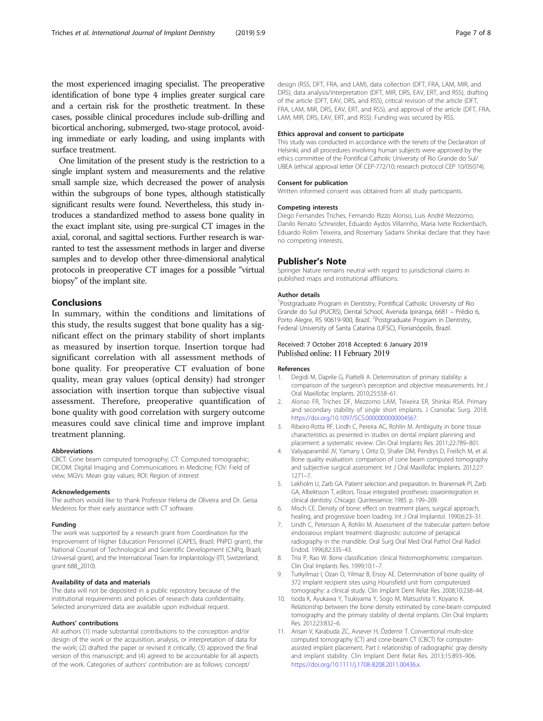<span id="page-6-0"></span>the most experienced imaging specialist. The preoperative identification of bone type 4 implies greater surgical care and a certain risk for the prosthetic treatment. In these cases, possible clinical procedures include sub-drilling and bicortical anchoring, submerged, two-stage protocol, avoiding immediate or early loading, and using implants with surface treatment.

One limitation of the present study is the restriction to a single implant system and measurements and the relative small sample size, which decreased the power of analysis within the subgroups of bone types, although statistically significant results were found. Nevertheless, this study introduces a standardized method to assess bone quality in the exact implant site, using pre-surgical CT images in the axial, coronal, and sagittal sections. Further research is warranted to test the assessment methods in larger and diverse samples and to develop other three-dimensional analytical protocols in preoperative CT images for a possible "virtual biopsy" of the implant site.

# Conclusions

In summary, within the conditions and limitations of this study, the results suggest that bone quality has a significant effect on the primary stability of short implants as measured by insertion torque. Insertion torque had significant correlation with all assessment methods of bone quality. For preoperative CT evaluation of bone quality, mean gray values (optical density) had stronger association with insertion torque than subjective visual assessment. Therefore, preoperative quantification of bone quality with good correlation with surgery outcome measures could save clinical time and improve implant treatment planning.

#### Abbreviations

CBCT: Cone beam computed tomography; CT: Computed tomographic; DICOM: Digital Imaging and Communications in Medicine; FOV: Field of view; MGVs: Mean gray values; ROI: Region of interest

#### Acknowledgements

The authors would like to thank Professor Helena de Oliveira and Dr. Geisa Medeiros for their early assistance with CT software.

#### Funding

The work was supported by a research grant from Coordination for the Improvement of Higher Education Personnel (CAPES, Brazil; PNPD grant), the National Counsel of Technological and Scientific Development (CNPq, Brazil; Universal grant), and the International Team for Implantology (ITI, Switzerland; grant 688\_2010).

#### Availability of data and materials

The data will not be deposited in a public repository because of the institutional requirements and policies of research data confidentiality. Selected anonymized data are available upon individual request.

#### Authors' contributions

All authors (1) made substantial contributions to the conception and/or design of the work or the acquisition, analysis, or interpretation of data for the work; (2) drafted the paper or revised it critically; (3) approved the final version of this manuscript; and (4) agreed to be accountable for all aspects of the work. Categories of authors' contribution are as follows: concept/

#### Ethics approval and consent to participate

This study was conducted in accordance with the tenets of the Declaration of Helsinki, and all procedures involving human subjects were approved by the ethics committee of the Pontifical Catholic University of Rio Grande do Sul/ UBEA (ethical approval letter OF.CEP-772/10; research protocol CEP 10/05074).

#### Consent for publication

Written informed consent was obtained from all study participants.

#### Competing interests

Diego Fernandes Triches, Fernando Rizzo Alonso, Luis André Mezzomo, Danilo Renato Schneider, Eduardo Aydos Villarinho, Maria Ivete Rockenbach, Eduardo Rolim Teixeira, and Rosemary Sadami Shinkai declare that they have no competing interests.

#### Publisher's Note

Springer Nature remains neutral with regard to jurisdictional claims in published maps and institutional affiliations.

#### Author details

<sup>1</sup>Postgraduate Program in Dentistry, Pontifical Catholic University of Rio Grande do Sul (PUCRS), Dental School, Avenida Ipiranga, 6681 – Prédio 6, Porto Alegre, RS 90619-900, Brazil. <sup>2</sup>Postgraduate Program in Dentistry, Federal University of Santa Catarina (UFSC), Florianópolis, Brazil.

# Received: 7 October 2018 Accepted: 6 January 2019 Published online: 11 February 2019

#### References

- 1. Degidi M, Daprile G, Piattelli A. Determination of primary stability: a comparison of the surgeon's perception and objective measurements. Int J Oral Maxillofac Implants. 2010;25:558–61.
- 2. Alonso FR, Triches DF, Mezzomo LAM, Teixeira ER, Shinkai RSA. Primary and secondary stability of single short implants. J Craniofac Surg. 2018. <https://doi.org/10.1097/SCS.0000000000004567>.
- 3. Ribeiro-Rotta RF, Lindh C, Pereira AC, Rohlin M. Ambiguity in bone tissue characteristics as presented in studies on dental implant planning and placement: a systematic review. Clin Oral Implants Res. 2011;22:789–801.
- 4. Valiyaparambil JV, Yamany I, Ortiz D, Shafer DM, Pendrys D, Freilich M, et al. Bone quality evaluation: comparison of cone beam computed tomography and subjective surgical assessment. Int J Oral Maxillofac Implants. 2012;27: 1271–7.
- 5. Lekholm U, Zarb GA. Patient selection and preparation. In: Branemark PI, Zarb GA, Albektsson T, editors. Tissue integrated prostheses: osseointegration in clinical dentistry. Chicago: Quintessence; 1985. p. 199–209.
- 6. Misch CE. Density of bone: effect on treatment plans, surgical approach, healing, and progressive boen loading. Int J Oral Implantol. 1990;6:23–31.
- 7. Lindh C, Petersson A, Rohlin M. Assessment of the trabecular pattern before endosseous implant treatment: diagnostic outcome of periapical radiography in the mandible. Oral Surg Oral Med Oral Pathol Oral Radiol Endod. 1996;82:335–43.
- 8. Trisi P, Rao W. Bone classification: clinical histomorphometric comparison. Clin Oral Implants Res. 1999;10:1–7.
- 9. Turkyilmaz I, Ozan O, Yilmaz B, Ersoy AE. Determination of bone quality of 372 implant recipient sites using Hounsfield unit from computerized tomography: a clinical study. Clin Implant Dent Relat Res. 2008;10:238–44.
- 10. Isoda K, Ayukawa Y, Tsukiyama Y, Sogo M, Matsushita Y, Koyano K. Relationship between the bone density estimated by cone-beam computed tomography and the primary stability of dental implants. Clin Oral Implants Res. 2012;23:832–6.
- 11. Arisan V, Karabuda ZC, Avsever H, Özdemir T. Conventional multi-slice computed tomography (CT) and cone-beam CT (CBCT) for computerassisted implant placement. Part I: relationship of radiographic gray density and implant stability. Clin Implant Dent Relat Res. 2013;15:893–906. [https://doi.org/10.1111/j.1708-8208.2011.00436.x.](https://doi.org/10.1111/j.1708-8208.2011.00436.x)